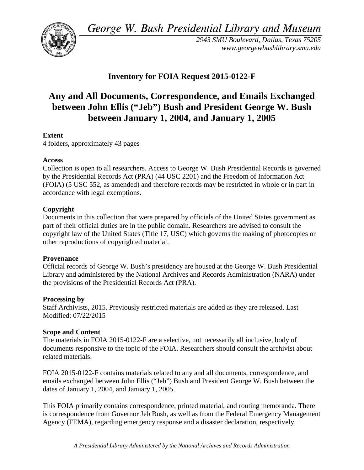*George W. Bush Presidential Library and Museum* 



*2943 SMU Boulevard, Dallas, Texas 75205 <www.georgewbushlibrary.smu.edu>*

# **Inventory for FOIA Request 2015-0122-F**

# **between January 1, 2004, and January 1, 2005 Any and All Documents, Correspondence, and Emails Exchanged between John Ellis ("Jeb") Bush and President George W. Bush**

## **Extent**

4 folders, approximately 43 pages

### **Access**

 by the Presidential Records Act (PRA) (44 USC 2201) and the Freedom of Information Act Collection is open to all researchers. Access to George W. Bush Presidential Records is governed (FOIA) (5 USC 552, as amended) and therefore records may be restricted in whole or in part in accordance with legal exemptions.

### **Copyright**

 Documents in this collection that were prepared by officials of the United States government as part of their official duties are in the public domain. Researchers are advised to consult the copyright law of the United States (Title 17, USC) which governs the making of photocopies or other reproductions of copyrighted material.

### **Provenance**

 Official records of George W. Bush's presidency are housed at the George W. Bush Presidential Library and administered by the National Archives and Records Administration (NARA) under the provisions of the Presidential Records Act (PRA).

### **Processing by**

 Modified: 07/22/2015 Staff Archivists, 2015. Previously restricted materials are added as they are released. Last

### **Scope and Content**

The materials in FOIA 2015-0122-F are a selective, not necessarily all inclusive, body of documents responsive to the topic of the FOIA. Researchers should consult the archivist about related materials.

FOIA 2015-0122-F contains materials related to any and all documents, correspondence, and emails exchanged between John Ellis ("Jeb") Bush and President George W. Bush between the dates of January 1, 2004, and January 1, 2005.

 is correspondence from Governor Jeb Bush, as well as from the Federal Emergency Management This FOIA primarily contains correspondence, printed material, and routing memoranda. There Agency (FEMA), regarding emergency response and a disaster declaration, respectively.